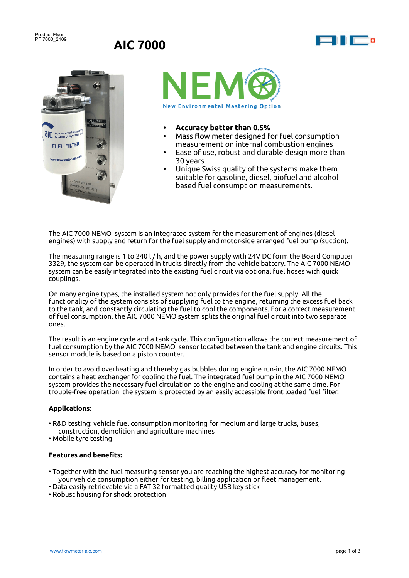Product Flyer PF 7000\_2109

# **AIC 7000**







- **• Accuracy better than 0.5%**
- Mass flow meter designed for fuel consumption measurement on internal combustion engines
- Ease of use, robust and durable design more than 30 years
- Unique Swiss quality of the systems make them suitable for gasoline, diesel, biofuel and alcohol based fuel consumption measurements.

The AIC 7000 NEMO system is an integrated system for the measurement of engines (diesel engines) with supply and return for the fuel supply and motor-side arranged fuel pump (suction).

The measuring range is 1 to 240 l / h, and the power supply with 24V DC form the Board Computer 3329, the system can be operated in trucks directly from the vehicle battery. The AIC 7000 NEMO system can be easily integrated into the existing fuel circuit via optional fuel hoses with quick couplings.

On many engine types, the installed system not only provides for the fuel supply. All the functionality of the system consists of supplying fuel to the engine, returning the excess fuel back to the tank, and constantly circulating the fuel to cool the components. For a correct measurement of fuel consumption, the AIC 7000 NEMO system splits the original fuel circuit into two separate ones.

The result is an engine cycle and a tank cycle. This configuration allows the correct measurement of fuel consumption by the AIC 7000 NEMO sensor located between the tank and engine circuits. This sensor module is based on a piston counter.

In order to avoid overheating and thereby gas bubbles during engine run-in, the AIC 7000 NEMO contains a heat exchanger for cooling the fuel. The integrated fuel pump in the AIC 7000 NEMO system provides the necessary fuel circulation to the engine and cooling at the same time. For trouble-free operation, the system is protected by an easily accessible front loaded fuel filter.

### **Applications:**

- R&D testing: vehicle fuel consumption monitoring for medium and large trucks, buses, construction, demolition and agriculture machines
- Mobile tyre testing

## **Features and benefits:**

- Together with the fuel measuring sensor you are reaching the highest accuracy for monitoring your vehicle consumption either for testing, billing application or fleet management.
- Data easily retrievable via a FAT 32 formatted quality USB key stick
- Robust housing for shock protection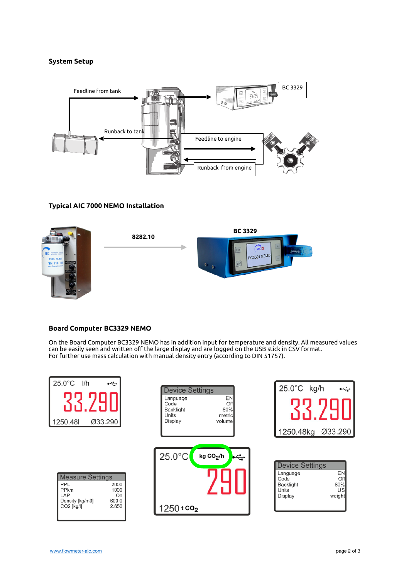## **System Setup**



# **Typical AIC 7000 NEMO Installation**



**8282.10**



## **Board Computer BC3329 NEMO**

On the Board Computer BC3329 NEMO has in addition input for temperature and density. All measured values can be easily seen and written off the large display and are logged on the USB stick in CSV format. For further use mass calculation with manual density entry (according to DIN 51757).

| $25.0^{\circ}$ C I/h<br>$\div$<br>Ø33.290<br>1250.48                                                                          | <b>Device Settings</b><br><b>EN</b><br>Language<br>Off<br>Code<br>80%<br>Backlight<br>Units<br>metric<br>Display<br>volume | 25.0°C kg/h<br>$\overline{\mathbf{f}}$                                                                                 |
|-------------------------------------------------------------------------------------------------------------------------------|----------------------------------------------------------------------------------------------------------------------------|------------------------------------------------------------------------------------------------------------------------|
| <b>Measure Settings</b><br>PPL<br>2000<br>1000<br><b>PPkm</b><br>LAP<br>On<br>600.0<br>Density [kg/m3]<br>CO2 [kg/l]<br>2.650 | $25.0^{\circ}$ C<br>kg CO <sub>2</sub> /h<br>$\div$<br>1250 t co <sub>2</sub>                                              | <b>Device Settings</b><br><b>EN</b><br>Language<br>Off<br>Code<br>80%<br>Backlight<br>US<br>Units<br>weight<br>Display |